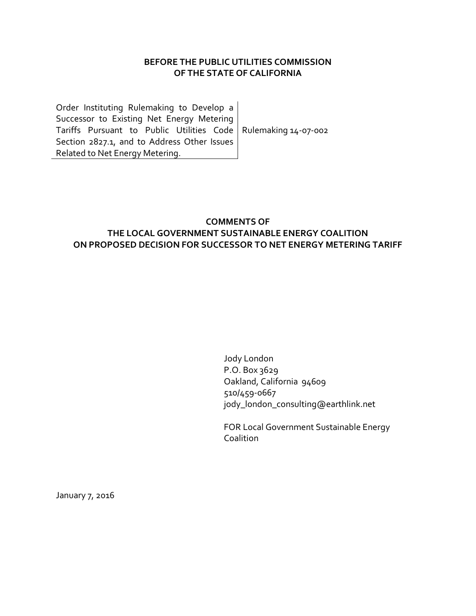## **BEFORE THE PUBLIC UTILITIES COMMISSION OF THE STATE OF CALIFORNIA**

Order Instituting Rulemaking to Develop a Successor to Existing Net Energy Metering Tariffs Pursuant to Public Utilities Code Rulemaking 14-07-002 Section 2827.1, and to Address Other Issues Related to Net Energy Metering.

## **COMMENTS OF THE LOCAL GOVERNMENT SUSTAINABLE ENERGY COALITION ON PROPOSED DECISION FOR SUCCESSOR TO NET ENERGY METERING TARIFF**

Jody London P.O. Box 3629 Oakland, California 94609 510/459-0667 jody\_london\_consulting@earthlink.net

FOR Local Government Sustainable Energy Coalition

January 7, 2016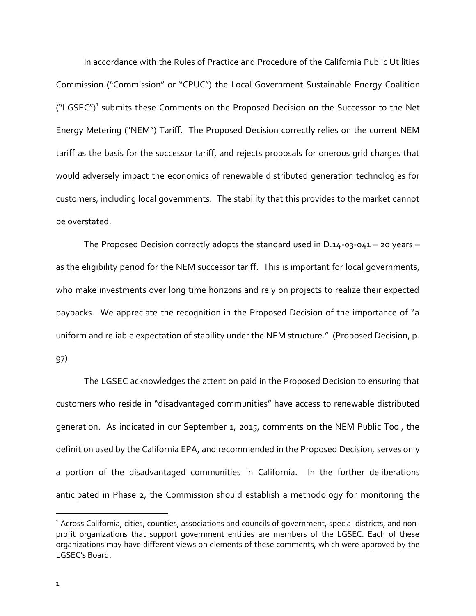In accordance with the Rules of Practice and Procedure of the California Public Utilities Commission ("Commission" or "CPUC") the Local Government Sustainable Energy Coalition ("LGSEC")<sup>1</sup> submits these Comments on the Proposed Decision on the Successor to the Net Energy Metering ("NEM") Tariff. The Proposed Decision correctly relies on the current NEM tariff as the basis for the successor tariff, and rejects proposals for onerous grid charges that would adversely impact the economics of renewable distributed generation technologies for customers, including local governments. The stability that this provides to the market cannot be overstated.

The Proposed Decision correctly adopts the standard used in D.14-03-041 – 20 years – as the eligibility period for the NEM successor tariff. This is important for local governments, who make investments over long time horizons and rely on projects to realize their expected paybacks. We appreciate the recognition in the Proposed Decision of the importance of "a uniform and reliable expectation of stability under the NEM structure." (Proposed Decision, p.

97)

The LGSEC acknowledges the attention paid in the Proposed Decision to ensuring that customers who reside in "disadvantaged communities" have access to renewable distributed generation. As indicated in our September 1, 2015, comments on the NEM Public Tool, the definition used by the California EPA, and recommended in the Proposed Decision, serves only a portion of the disadvantaged communities in California. In the further deliberations anticipated in Phase 2, the Commission should establish a methodology for monitoring the

 $\ddot{\phantom{a}}$ 

<sup>&</sup>lt;sup>1</sup> Across California, cities, counties, associations and councils of government, special districts, and nonprofit organizations that support government entities are members of the LGSEC. Each of these organizations may have different views on elements of these comments, which were approved by the LGSEC's Board.